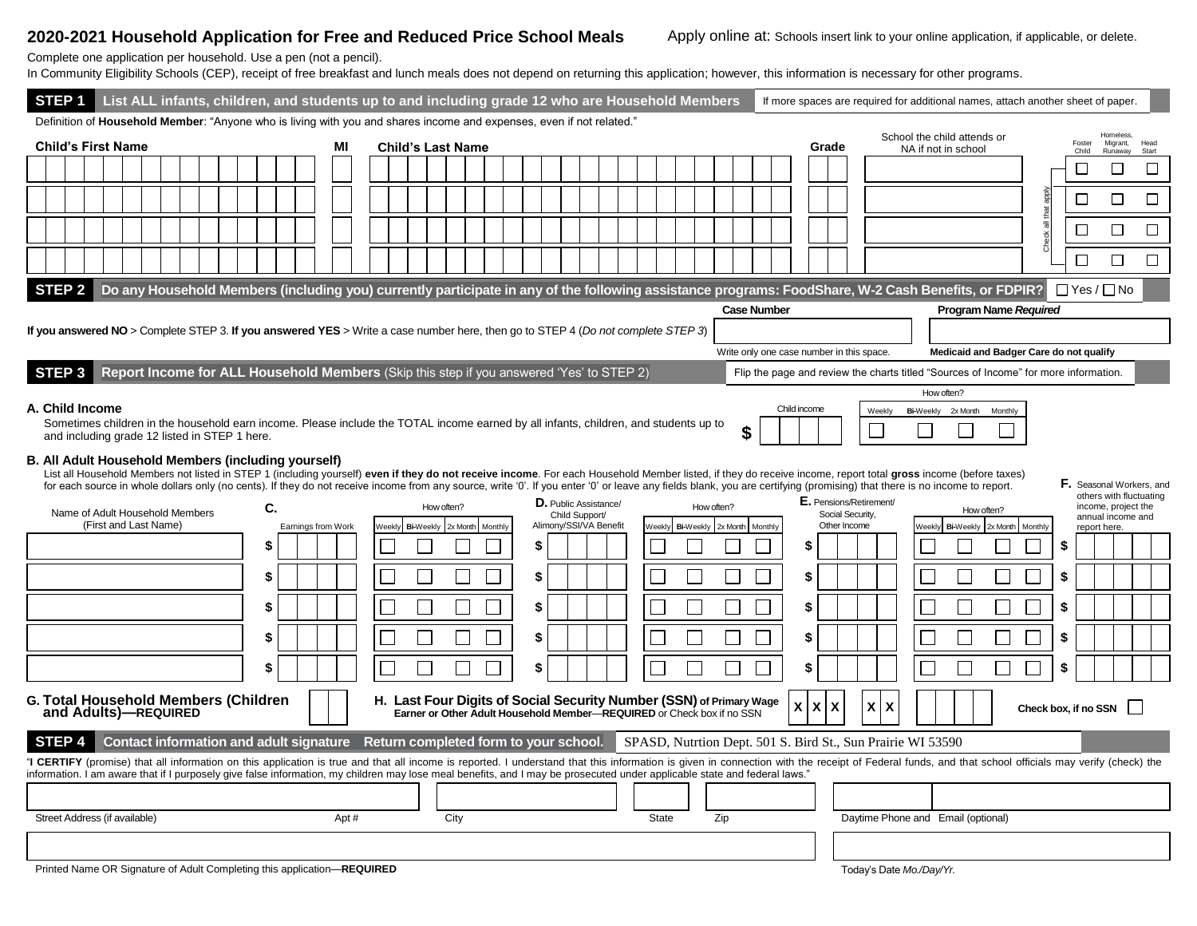## 2020-2021 Household Application for Free and Reduced Price School Meals Apply online at: Schools insert link to your online application, if applicable, or delete.

Complete one application per household. Use a pen (not a pencil).

In Community Eligibility Schools (CEP), receipt of free breakfast and lunch meals does not depend on returning this application; however, this information is necessary for other programs.

| STEP <sub>1</sub>                                                                                                                                                                                                                                                                                                                                                                                                                                                                                                              | List ALL infants, children, and students up to and including grade 12 who are Household Members |  |  |  |  |  |    |  |                    |  |      |  |                                       |                  |            |                  |    |                                                                          |                 |        |                                |          |                    |         |       |                                  |                                           | If more spaces are required for additional names, attach another sheet of paper.                                                                                                                                              |                       |                         |                        |                                 |                                                                     |
|--------------------------------------------------------------------------------------------------------------------------------------------------------------------------------------------------------------------------------------------------------------------------------------------------------------------------------------------------------------------------------------------------------------------------------------------------------------------------------------------------------------------------------|-------------------------------------------------------------------------------------------------|--|--|--|--|--|----|--|--------------------|--|------|--|---------------------------------------|------------------|------------|------------------|----|--------------------------------------------------------------------------|-----------------|--------|--------------------------------|----------|--------------------|---------|-------|----------------------------------|-------------------------------------------|-------------------------------------------------------------------------------------------------------------------------------------------------------------------------------------------------------------------------------|-----------------------|-------------------------|------------------------|---------------------------------|---------------------------------------------------------------------|
| Definition of <b>Household Member</b> : "Anyone who is living with you and shares income and expenses, even if not related."<br><b>Child's First Name</b>                                                                                                                                                                                                                                                                                                                                                                      |                                                                                                 |  |  |  |  |  |    |  |                    |  | MI   |  | <b>Child's Last Name</b>              |                  |            |                  |    |                                                                          |                 |        |                                |          |                    |         | Grade |                                  |                                           | School the child attends or<br>NA if not in school                                                                                                                                                                            |                       |                         | Foster<br>Child        | Homeless<br>Migrant,<br>Runaway |                                                                     |
|                                                                                                                                                                                                                                                                                                                                                                                                                                                                                                                                |                                                                                                 |  |  |  |  |  |    |  |                    |  |      |  |                                       |                  |            |                  |    |                                                                          | Start<br>П<br>П |        |                                |          |                    |         |       |                                  |                                           |                                                                                                                                                                                                                               |                       |                         |                        |                                 |                                                                     |
|                                                                                                                                                                                                                                                                                                                                                                                                                                                                                                                                |                                                                                                 |  |  |  |  |  |    |  |                    |  |      |  |                                       |                  |            |                  |    |                                                                          |                 |        |                                |          |                    |         |       |                                  |                                           |                                                                                                                                                                                                                               |                       |                         | ⊏                      |                                 |                                                                     |
|                                                                                                                                                                                                                                                                                                                                                                                                                                                                                                                                |                                                                                                 |  |  |  |  |  |    |  |                    |  |      |  |                                       |                  |            |                  |    |                                                                          |                 |        |                                |          |                    |         |       |                                  |                                           |                                                                                                                                                                                                                               |                       |                         | $\Box$                 | П                               | □                                                                   |
|                                                                                                                                                                                                                                                                                                                                                                                                                                                                                                                                |                                                                                                 |  |  |  |  |  |    |  |                    |  |      |  |                                       |                  |            |                  |    |                                                                          |                 |        |                                |          |                    |         |       |                                  |                                           |                                                                                                                                                                                                                               |                       | 一<br>$\frac{1}{6}$<br>۳ | □                      | $\Box$                          | □                                                                   |
|                                                                                                                                                                                                                                                                                                                                                                                                                                                                                                                                |                                                                                                 |  |  |  |  |  |    |  |                    |  |      |  |                                       |                  |            |                  |    |                                                                          |                 |        |                                |          |                    |         |       |                                  |                                           |                                                                                                                                                                                                                               |                       |                         | П                      | П                               | □                                                                   |
| STEP <sub>2</sub>                                                                                                                                                                                                                                                                                                                                                                                                                                                                                                              |                                                                                                 |  |  |  |  |  |    |  |                    |  |      |  |                                       |                  |            |                  |    |                                                                          |                 |        |                                |          |                    |         |       |                                  |                                           | Do any Household Members (including you) currently participate in any of the following assistance programs: FoodShare, W-2 Cash Benefits, or FDPIR?                                                                           |                       |                         | $\Box$ Yes / $\Box$ No |                                 |                                                                     |
|                                                                                                                                                                                                                                                                                                                                                                                                                                                                                                                                |                                                                                                 |  |  |  |  |  |    |  |                    |  |      |  |                                       |                  |            |                  |    |                                                                          |                 |        |                                |          | <b>Case Number</b> |         |       |                                  |                                           |                                                                                                                                                                                                                               | Program Name Required |                         |                        |                                 |                                                                     |
| If you answered NO > Complete STEP 3. If you answered YES > Write a case number here, then go to STEP 4 (Do not complete STEP 3)                                                                                                                                                                                                                                                                                                                                                                                               |                                                                                                 |  |  |  |  |  |    |  |                    |  |      |  |                                       |                  |            |                  |    |                                                                          |                 |        |                                |          |                    |         |       |                                  |                                           |                                                                                                                                                                                                                               |                       |                         |                        |                                 |                                                                     |
|                                                                                                                                                                                                                                                                                                                                                                                                                                                                                                                                |                                                                                                 |  |  |  |  |  |    |  |                    |  |      |  |                                       |                  |            |                  |    |                                                                          |                 |        |                                |          |                    |         |       |                                  | Write only one case number in this space. | Medicaid and Badger Care do not qualify                                                                                                                                                                                       |                       |                         |                        |                                 |                                                                     |
| Report Income for ALL Household Members (Skip this step if you answered 'Yes' to STEP 2)<br>STEP <sub>3</sub><br>Flip the page and review the charts titled "Sources of Income" for more information.                                                                                                                                                                                                                                                                                                                          |                                                                                                 |  |  |  |  |  |    |  |                    |  |      |  |                                       |                  |            |                  |    |                                                                          |                 |        |                                |          |                    |         |       |                                  |                                           |                                                                                                                                                                                                                               |                       |                         |                        |                                 |                                                                     |
| How often?<br>A. Child Income<br>Child income<br>Bi-Weekly 2x Month<br>Monthly<br>Weekly<br>Sometimes children in the household earn income. Please include the TOTAL income earned by all infants, children, and students up to<br>and including grade 12 listed in STEP 1 here.                                                                                                                                                                                                                                              |                                                                                                 |  |  |  |  |  |    |  |                    |  |      |  |                                       |                  |            |                  |    |                                                                          |                 |        |                                |          |                    |         |       |                                  |                                           |                                                                                                                                                                                                                               |                       |                         |                        |                                 |                                                                     |
| B. All Adult Household Members (including yourself)<br>List all Household Members not listed in STEP 1 (including yourself) even if they do not receive income. For each Household Member listed, if they do receive income, report total gross income (before taxes)<br>F. Seasonal Workers, and<br>for each source in whole dollars only (no cents). If they do not receive income from any source, write '0'. If you enter '0' or leave any fields blank, you are certifying (promising) that there is no income to report. |                                                                                                 |  |  |  |  |  |    |  |                    |  |      |  |                                       |                  |            |                  |    |                                                                          |                 |        |                                |          |                    |         |       |                                  |                                           |                                                                                                                                                                                                                               |                       |                         |                        |                                 |                                                                     |
| Name of Adult Household Members                                                                                                                                                                                                                                                                                                                                                                                                                                                                                                | (First and Last Name)                                                                           |  |  |  |  |  | C. |  | Earnings from Work |  |      |  | <b>Neekly</b>                         | <b>Bi-Weekly</b> | How often? | 2x Month Monthly |    | <b>D.</b> Public Assistance/<br>Child Support/<br>Alimony/SSI/VA Benefit |                 | Weekly | How often?<br><b>Bi-Weekly</b> | 2x Month |                    | Monthly |       | Social Security,<br>Other Income | E. Pensions/Retirement/                   | Veekly Bi-Weekly 2x Month Monthly                                                                                                                                                                                             | How often?            |                         |                        | report here.                    | others with fluctuating<br>income, project the<br>annual income and |
|                                                                                                                                                                                                                                                                                                                                                                                                                                                                                                                                |                                                                                                 |  |  |  |  |  | S  |  |                    |  |      |  |                                       |                  |            |                  | S  |                                                                          |                 |        |                                |          |                    |         |       |                                  |                                           |                                                                                                                                                                                                                               |                       |                         | \$                     |                                 |                                                                     |
|                                                                                                                                                                                                                                                                                                                                                                                                                                                                                                                                |                                                                                                 |  |  |  |  |  | S  |  |                    |  |      |  |                                       |                  |            |                  | \$ |                                                                          |                 |        |                                |          |                    |         | S     |                                  |                                           |                                                                                                                                                                                                                               |                       |                         | \$                     |                                 |                                                                     |
|                                                                                                                                                                                                                                                                                                                                                                                                                                                                                                                                |                                                                                                 |  |  |  |  |  | S  |  |                    |  |      |  |                                       |                  |            |                  | \$ |                                                                          |                 |        |                                |          |                    |         |       |                                  |                                           |                                                                                                                                                                                                                               |                       |                         | \$                     |                                 |                                                                     |
|                                                                                                                                                                                                                                                                                                                                                                                                                                                                                                                                |                                                                                                 |  |  |  |  |  | S  |  |                    |  |      |  |                                       |                  |            |                  | \$ |                                                                          |                 |        |                                |          |                    |         |       |                                  |                                           |                                                                                                                                                                                                                               |                       |                         | \$                     |                                 |                                                                     |
|                                                                                                                                                                                                                                                                                                                                                                                                                                                                                                                                |                                                                                                 |  |  |  |  |  | 9  |  |                    |  |      |  |                                       |                  |            |                  | \$ |                                                                          |                 |        |                                |          |                    |         |       |                                  |                                           |                                                                                                                                                                                                                               |                       |                         | \$                     |                                 |                                                                     |
| G. Total Household Members (Children<br>H. Last Four Digits of Social Security Number (SSN) of Primary Wage<br>X<br>$\pmb{\mathsf{X}}$<br>X<br>X<br>X<br>Check box, if no SSN<br>and Adults)-REQUIRED<br>Earner or Other Adult Household Member-REQUIRED or Check box if no SSN                                                                                                                                                                                                                                                |                                                                                                 |  |  |  |  |  |    |  |                    |  |      |  |                                       |                  |            |                  |    |                                                                          |                 |        |                                |          |                    |         |       |                                  |                                           |                                                                                                                                                                                                                               |                       |                         |                        |                                 |                                                                     |
| STEP 4                                                                                                                                                                                                                                                                                                                                                                                                                                                                                                                         | <b>Contact information and adult signature</b>                                                  |  |  |  |  |  |    |  |                    |  |      |  | Return completed form to your school. |                  |            |                  |    |                                                                          |                 |        |                                |          |                    |         |       |                                  |                                           | SPASD, Nutrtion Dept. 501 S. Bird St., Sun Prairie WI 53590                                                                                                                                                                   |                       |                         |                        |                                 |                                                                     |
| information. I am aware that if I purposely give false information, my children may lose meal benefits, and I may be prosecuted under applicable state and federal laws."                                                                                                                                                                                                                                                                                                                                                      |                                                                                                 |  |  |  |  |  |    |  |                    |  |      |  |                                       |                  |            |                  |    |                                                                          |                 |        |                                |          |                    |         |       |                                  |                                           | "I CERTIFY (promise) that all information on this application is true and that all income is reported. I understand that this information is given in connection with the receipt of Federal funds, and that school officials |                       |                         |                        |                                 |                                                                     |
|                                                                                                                                                                                                                                                                                                                                                                                                                                                                                                                                |                                                                                                 |  |  |  |  |  |    |  |                    |  |      |  |                                       |                  |            |                  |    |                                                                          |                 |        |                                |          |                    |         |       |                                  |                                           |                                                                                                                                                                                                                               |                       |                         |                        |                                 |                                                                     |
| Street Address (if available)                                                                                                                                                                                                                                                                                                                                                                                                                                                                                                  |                                                                                                 |  |  |  |  |  |    |  |                    |  | Apt# |  |                                       |                  | City       |                  |    |                                                                          |                 | State  |                                | Zip      |                    |         |       |                                  |                                           | Daytime Phone and Email (optional)                                                                                                                                                                                            |                       |                         |                        |                                 |                                                                     |
|                                                                                                                                                                                                                                                                                                                                                                                                                                                                                                                                |                                                                                                 |  |  |  |  |  |    |  |                    |  |      |  |                                       |                  |            |                  |    |                                                                          |                 |        |                                |          |                    |         |       |                                  |                                           |                                                                                                                                                                                                                               |                       |                         |                        |                                 |                                                                     |